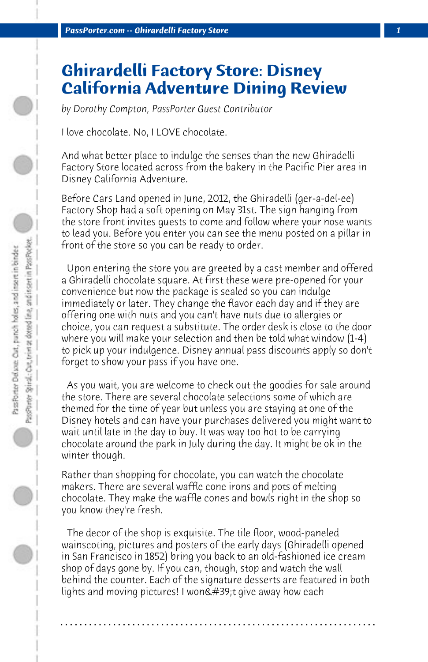## **Ghirardelli Factory Store: Disney California Adventure Dining Review**

*by Dorothy Compton, PassPorter Guest Contributor*

I love chocolate. No, I LOVE chocolate.

And what better place to indulge the senses than the new Ghiradelli Factory Store located across from the bakery in the Pacific Pier area in Disney California Adventure.

Before Cars Land opened in June, 2012, the Ghiradelli (ger-a-del-ee) Factory Shop had a soft opening on May 31st. The sign hanging from the store front invites guests to come and follow where your nose wants to lead you. Before you enter you can see the menu posted on a pillar in front of the store so you can be ready to order.

 Upon entering the store you are greeted by a cast member and offered a Ghiradelli chocolate square. At first these were pre-opened for your convenience but now the package is sealed so you can indulge immediately or later. They change the flavor each day and if they are offering one with nuts and you can't have nuts due to allergies or choice, you can request a substitute. The order desk is close to the door where you will make your selection and then be told what window (1-4) to pick up your indulgence. Disney annual pass discounts apply so don't forget to show your pass if you have one.

 As you wait, you are welcome to check out the goodies for sale around the store. There are several chocolate selections some of which are themed for the time of year but unless you are staying at one of the Disney hotels and can have your purchases delivered you might want to wait until late in the day to buy. It was way too hot to be carrying chocolate around the park in July during the day. It might be ok in the winter though.

Rather than shopping for chocolate, you can watch the chocolate makers. There are several waffle cone irons and pots of melting chocolate. They make the waffle cones and bowls right in the shop so you know they're fresh.

 The decor of the shop is exquisite. The tile floor, wood-paneled wainscoting, pictures and posters of the early days (Ghiradelli opened in San Francisco in 1852) bring you back to an old-fashioned ice cream shop of days gone by. If you can, though, stop and watch the wall behind the counter. Each of the signature desserts are featured in both lights and moving pictures! I won $\&\#39$ ; t give away how each

**. . . . . . . . . . . . . . . . . . . . . . . . . . . . . . . . . . . . . . . . . . . . . . . . . . . . . . . . . . . . . . . . . .**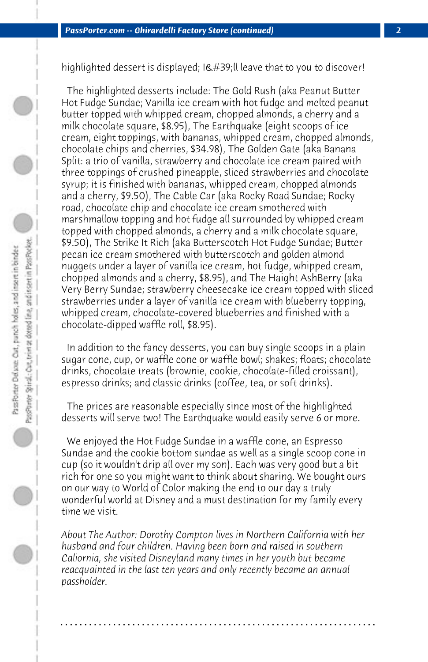highlighted dessert is displayed; I'll leave that to you to discover!

 The highlighted desserts include: The Gold Rush (aka Peanut Butter Hot Fudge Sundae; Vanilla ice cream with hot fudge and melted peanut butter topped with whipped cream, chopped almonds, a cherry and a milk chocolate square, \$8.95), The Earthquake (eight scoops of ice cream, eight toppings, with bananas, whipped cream, chopped almonds, chocolate chips and cherries, \$34.98), The Golden Gate (aka Banana Split: a trio of vanilla, strawberry and chocolate ice cream paired with three toppings of crushed pineapple, sliced strawberries and chocolate syrup; it is finished with bananas, whipped cream, chopped almonds and a cherry, \$9.50), The Cable Car (aka Rocky Road Sundae; Rocky road, chocolate chip and chocolate ice cream smothered with marshmallow topping and hot fudge all surrounded by whipped cream topped with chopped almonds, a cherry and a milk chocolate square, \$9.50), The Strike It Rich (aka Butterscotch Hot Fudge Sundae; Butter pecan ice cream smothered with butterscotch and golden almond nuggets under a layer of vanilla ice cream, hot fudge, whipped cream, chopped almonds and a cherry, \$8.95), and The Haight AshBerry (aka Very Berry Sundae; strawberry cheesecake ice cream topped with sliced strawberries under a layer of vanilla ice cream with blueberry topping, whipped cream, chocolate-covered blueberries and finished with a chocolate-dipped waffle roll, \$8.95).

 In addition to the fancy desserts, you can buy single scoops in a plain sugar cone, cup, or waffle cone or waffle bowl; shakes; floats; chocolate drinks, chocolate treats (brownie, cookie, chocolate-filled croissant), espresso drinks; and classic drinks (coffee, tea, or soft drinks).

 The prices are reasonable especially since most of the highlighted desserts will serve two! The Earthquake would easily serve 6 or more.

 We enjoyed the Hot Fudge Sundae in a waffle cone, an Espresso Sundae and the cookie bottom sundae as well as a single scoop cone in cup (so it wouldn't drip all over my son). Each was very good but a bit rich for one so you might want to think about sharing. We bought ours on our way to World of Color making the end to our day a truly wonderful world at Disney and a must destination for my family every time we visit.

*About The Author: Dorothy Compton lives in Northern California with her husband and four children. Having been born and raised in southern Caliornia, she visited Disneyland many times in her youth but became reacquainted in the last ten years and only recently became an annual passholder.*

**. . . . . . . . . . . . . . . . . . . . . . . . . . . . . . . . . . . . . . . . . . . . . . . . . . . . . . . . . . . . . . . . . .**